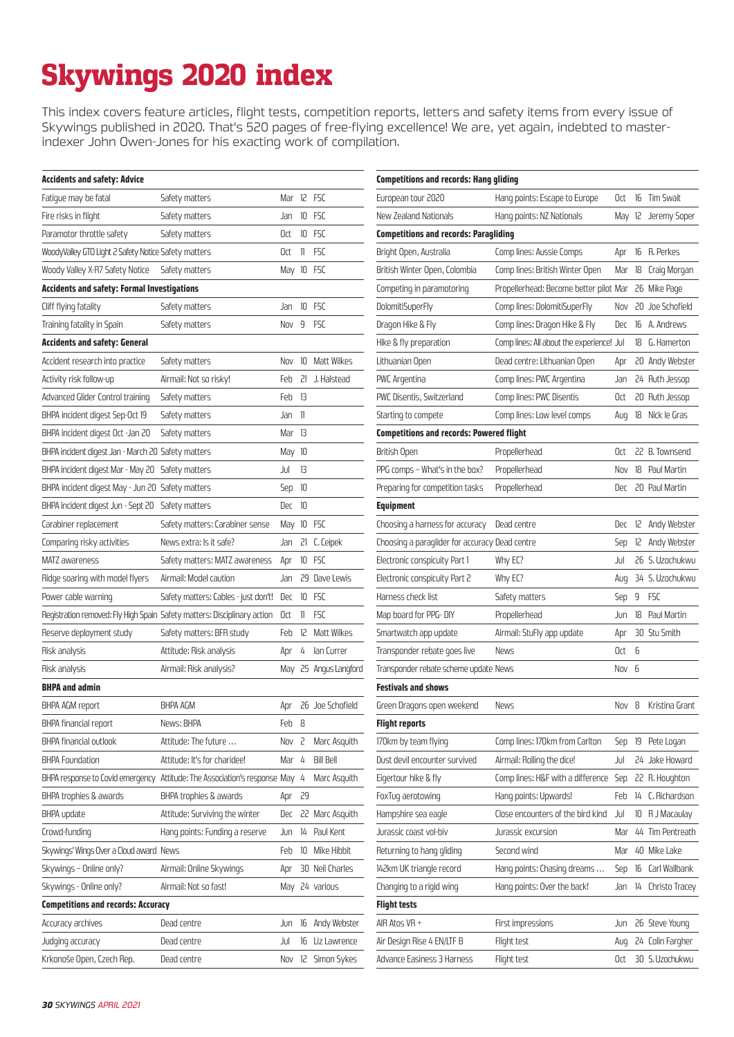## Skywings 2020 index

This index covers feature articles, flight tests, competition reports, letters and safety items from every issue of Skywings published in 2020. That's 520 pages of free-flying excellence! We are, yet again, indebted to masterindexer John Owen-Jones for his exacting work of compilation.

| <b>Accidents and safety: Advice</b>                  |                                                                          |                  |              |                      | <b>Competitions and records: Hang gliding</b>   |                                           |       |   |                      |
|------------------------------------------------------|--------------------------------------------------------------------------|------------------|--------------|----------------------|-------------------------------------------------|-------------------------------------------|-------|---|----------------------|
| Fatigue may be fatal                                 | Safety matters                                                           | Mar 12 FSC       |              |                      | European tour 2020                              | Hang points: Escape to Europe             | Oct   |   | 16 Tim Swait         |
| Fire risks in flight                                 | Safety matters                                                           | Jan              |              | 10 FSC               | New Zealand Nationals                           | Hang points: NZ Nationals                 | May   |   | 12 Jeremy Soper      |
| Paramotor throttle safety                            | Safety matters                                                           | Oct              |              | 10 FSC               | <b>Competitions and records: Paragliding</b>    |                                           |       |   |                      |
| WoodyValley GTO Light 2 Safety Notice Safety matters |                                                                          | Oct              | $\mathbb{I}$ | <b>FSC</b>           | Bright Open, Australia                          | Comp lines: Aussie Comps                  | Apr   |   | 16 R. Perkes         |
| Woody Valley X-R7 Safety Notice                      | Safety matters                                                           | May 10 FSC       |              |                      | British Winter Open, Colombia                   | Comp lines: British Winter Open           | Mar   |   | 18 Craig Morgan      |
| <b>Accidents and safety: Formal Investigations</b>   |                                                                          |                  |              |                      | Competing in paramotoring                       | Propellerhead: Become better pilot Mar    |       |   | 26 Mike Page         |
| Cliff flying fatality                                | Safety matters                                                           | Jan              |              | 10 FSC               | DolomitiSuperFly                                | Comp lines: DolomitiSuperFly              | Nov   |   | 20 Joe Schofield     |
| Training fatality in Spain                           | Safety matters                                                           | Nov 9 FSC        |              |                      | Dragon Hike & Fly                               | Comp lines: Dragon Hike & Fly             | Dec   |   | 16 A. Andrews        |
| <b>Accidents and safety: General</b>                 |                                                                          |                  |              |                      | Hike & fly preparation                          | Comp lines: All about the experience! Jul |       |   | 18 G. Hamerton       |
| Accident research into practice                      | Safety matters                                                           | Nov              |              | 10 Matt Wilkes       | Lithuanian Open                                 | Dead centre: Lithuanian Open              | Apr   |   | 20 Andy Webster      |
| Activity risk follow-up                              | Airmail: Not so risky!                                                   | Feb              |              | 21 J. Halstead       | PWC Argentina                                   | Comp lines: PWC Argentina                 | Jan   |   | 24 Ruth Jessop       |
| Advanced Glider Control training                     | Safety matters                                                           | Feb 13           |              |                      | PWC Disentis, Switzerland                       | Comp lines: PWC Disentis                  | Oct   |   | 20 Ruth Jessop       |
| BHPA incident digest Sep-Oct 19                      | Safety matters                                                           | Jan II           |              |                      | Starting to compete                             | Comp lines: Low level comps               | Aug   |   | 18 Nick le Gras      |
| BHPA incident digest Oct -Jan 20                     | Safety matters                                                           | $Mar$ 13         |              |                      | <b>Competitions and records: Powered flight</b> |                                           |       |   |                      |
| BHPA incident digest Jan - March 20 Safety matters   |                                                                          | May 10           |              |                      | British Open                                    | Propellerhead                             | 0ct   |   | 22 B. Townsend       |
| BHPA incident digest Mar - May 20 Safety matters     |                                                                          | Jul              | -13          |                      | PPG comps - What's in the box?                  | Propellerhead                             | Nov   |   | 18 Paul Martin       |
| BHPA incident digest May - Jun 20 Safety matters     |                                                                          | Sep 10           |              |                      | Preparing for competition tasks                 | Propellerhead                             |       |   | Dec 20 Paul Martin   |
| BHPA incident digest Jun - Sept 20 Safety matters    |                                                                          | Dec 10           |              |                      | <b>Equipment</b>                                |                                           |       |   |                      |
| Carabiner replacement                                | Safety matters: Carabiner sense                                          | May 10 FSC       |              |                      | Choosing a harness for accuracy                 | Dead centre                               | Dec   |   | 12 Andy Webster      |
| Comparing risky activities                           | News extra: Is it safe?                                                  | Jan              |              | 21 C. Ceipek         | Choosing a paraglider for accuracy Dead centre  |                                           | Sep   |   | 12 Andy Webster      |
| MATZ awareness                                       | Safety matters: MATZ awareness                                           | Apr              |              | 10 FSC               | Electronic conspicuity Part 1                   | Why EC?                                   | Jul   |   | 26 S. Uzochukwu      |
| Ridge soaring with model flyers                      | Airmail: Model caution                                                   | Jan              |              | 29 Dave Lewis        | Electronic conspicuity Part 2                   | Why EC?                                   | Aug   |   | 34 S. Uzochukwu      |
| Power cable warning                                  | Safety matters: Cables - just don't! Dec                                 |                  |              | 10 FSC               | Harness check list                              | Safety matters                            | Sep   | 9 | FSC                  |
|                                                      | Registration removed: Fly High Spain Safety matters: Disciplinary action | Oct              | $\mathbb{I}$ | <b>FSC</b>           | Map board for PPG-DIY                           | Propellerhead                             | Jun   |   | 18 Paul Martin       |
| Reserve deployment study                             | Safety matters: BFR study                                                | Feb              | 12           | Matt Wilkes          | Smartwatch app update                           | Airmail: StuFly app update                | Apr   |   | 30 Stu Smith         |
| Risk analysis                                        | Attitude: Risk analysis                                                  | Apr              | 4            | lan Currer           | Transponder rebate goes live                    | News                                      | Oct 6 |   |                      |
| Risk analysis                                        | Airmail: Risk analysis?                                                  | May              |              | 25 Angus Langford    | Transponder rebate scheme update News           |                                           | Nov 6 |   |                      |
| <b>BHPA and admin</b>                                |                                                                          |                  |              |                      | <b>Festivals and shows</b>                      |                                           |       |   |                      |
| BHPA AGM report                                      | <b>BHPA AGM</b>                                                          |                  |              | Apr 26 Joe Schofield | Green Dragons open weekend                      | News                                      |       |   | Nov 8 Kristina Grant |
| BHPA financial report                                | News: BHPA                                                               | Feb 8            |              |                      | <b>Flight reports</b>                           |                                           |       |   |                      |
| BHPA financial outlook                               | Attitude: The future                                                     | Nov <sub>2</sub> |              | Marc Asquith         | 170km by team flying                            | Comp lines: 170km from Carlton            | Sep   |   | 19 Pete Logan        |
| <b>BHPA Foundation</b>                               | Attitude: It's for charidee!                                             | Mar              | 4            | <b>Bill Bell</b>     | Dust devil encounter survived                   | Airmail: Rolling the dice!                | Jul   |   | 24 Jake Howard       |
| BHPA response to Covid emergency                     | Attitude: The Association's response May                                 |                  | 4            | Marc Asquith         | Eigertour hike & fly                            | Comp lines: H&F with a difference         | Sep   |   | 22 R. Houghton       |
| BHPA trophies & awards                               | BHPA trophies & awards                                                   | Apr 29           |              |                      | FoxTuq aerotowing                               | Hang points: Upwards!                     | Feb   |   | 14 C. Richardson     |
| BHPA update                                          | Attitude: Surviving the winter                                           | Dec              |              | 22 Marc Asquith      | Hampshire sea eagle                             | Close encounters of the bird kind         | Jul   |   | 10 R J Macaulay      |
| Crowd-funding                                        | Hang points: Funding a reserve                                           | Jun              |              | 14 Paul Kent         | Jurassic coast vol-biv                          | Jurassic excursion                        | Mar   |   | 44 Tim Pentreath     |
| Skywings' Wings Over a Cloud award News              |                                                                          | Feb              |              | 10 Mike Hibbit       | Returning to hang gliding                       | Second wind                               | Mar   |   | 40 Mike Lake         |
| Skywings - Online only?                              | Airmail: Online Skywings                                                 | Apr              |              | 30 Neil Charles      | 142km UK triangle record                        | Hang points: Chasing dreams               | Sep   |   | 16 Carl Wallbank     |
| Skywings - Online only?                              | Airmail: Not so fast!                                                    |                  |              | May 24 various       | Changing to a rigid wing                        | Hang points: Over the back!               | Jan   |   | 14 Christo Tracey    |
| <b>Competitions and records: Accuracy</b>            |                                                                          |                  |              |                      | <b>Flight tests</b>                             |                                           |       |   |                      |
| Accuracy archives                                    | Dead centre                                                              | Jun              |              | 16 Andy Webster      | AIR Atos VR +                                   | First impressions                         | Jun   |   | 26 Steve Young       |
| Judging accuracy                                     | Dead centre                                                              | Jul              |              | 16 Liz Lawrence      | Air Design Rise 4 EN/LTF B                      | Flight test                               | Aug   |   | 24 Colin Fargher     |
| Krkonoše Open, Czech Rep.                            | Dead centre                                                              |                  |              | Nov 12 Simon Sykes   | Advance Easiness 3 Harness                      | Flight test                               | Oct   |   | 30 S. Uzochukwu      |